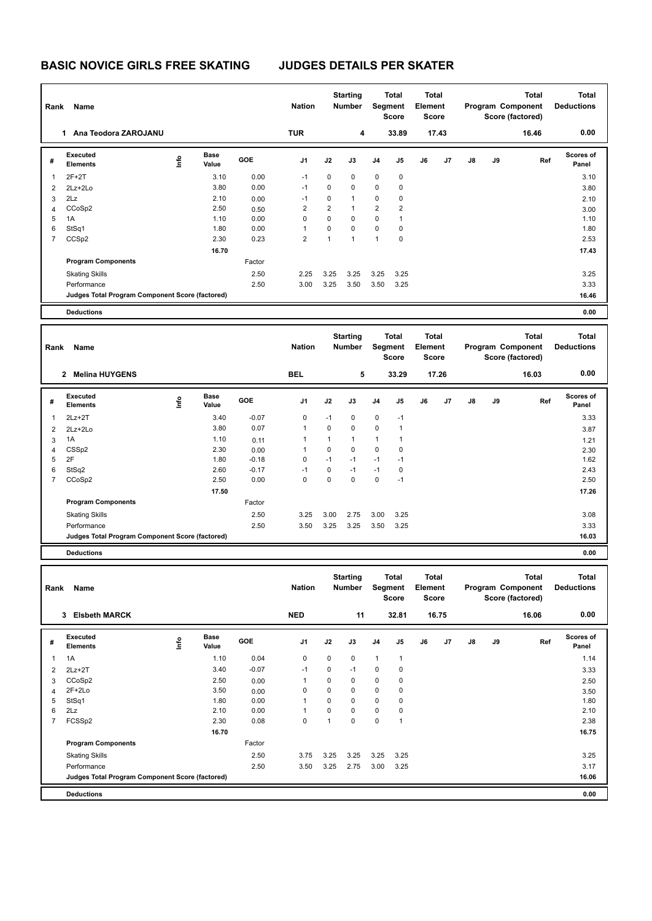| Rank                | Name                                            |                                                             |                      |                    | <b>Nation</b>                 |                     | <b>Starting</b><br><b>Number</b> |                              | <b>Total</b><br>Segment<br>Score | <b>Total</b><br>Element<br><b>Score</b>        |       |    |    | <b>Total</b><br>Program Component<br>Score (factored) | <b>Total</b><br><b>Deductions</b> |
|---------------------|-------------------------------------------------|-------------------------------------------------------------|----------------------|--------------------|-------------------------------|---------------------|----------------------------------|------------------------------|----------------------------------|------------------------------------------------|-------|----|----|-------------------------------------------------------|-----------------------------------|
|                     | 1 Ana Teodora ZAROJANU                          |                                                             |                      |                    | <b>TUR</b>                    |                     | 4                                |                              | 33.89                            |                                                | 17.43 |    |    | 16.46                                                 | 0.00                              |
| #                   | Executed<br><b>Elements</b>                     | ١mfo                                                        | <b>Base</b><br>Value | GOE                | J1                            | J2                  | J3                               | J <sub>4</sub>               | J5                               | J6                                             | J7    | J8 | J9 | Ref                                                   | <b>Scores of</b><br>Panel         |
| $\mathbf{1}$        | $2F+2T$                                         |                                                             | 3.10                 | 0.00               | $-1$                          | 0                   | 0                                | $\pmb{0}$                    | $\mathbf 0$                      |                                                |       |    |    |                                                       | 3.10                              |
| $\overline{2}$      | 2Lz+2Lo                                         |                                                             | 3.80                 | 0.00               | $-1$                          | 0                   | 0                                | 0                            | $\mathbf 0$                      |                                                |       |    |    |                                                       | 3.80                              |
| 3                   | 2Lz                                             |                                                             | 2.10                 | 0.00               | $-1$                          | 0<br>$\overline{2}$ | 1<br>$\mathbf{1}$                | 0                            | $\mathbf 0$                      |                                                |       |    |    |                                                       | 2.10                              |
| 4<br>5              | CCoSp2<br>1A                                    |                                                             | 2.50<br>1.10         | 0.50<br>0.00       | $\overline{2}$<br>$\mathbf 0$ | $\mathbf 0$         | 0                                | $\overline{\mathbf{c}}$<br>0 | $\boldsymbol{2}$<br>1            |                                                |       |    |    |                                                       | 3.00<br>1.10                      |
| 6                   | StSq1                                           |                                                             | 1.80                 | 0.00               | 1                             | 0                   | 0                                | 0                            | $\mathbf 0$                      |                                                |       |    |    |                                                       | 1.80                              |
| 7                   | CCS <sub>p2</sub>                               |                                                             | 2.30                 | 0.23               | $\overline{2}$                | $\mathbf{1}$        | $\mathbf{1}$                     | $\mathbf{1}$                 | $\mathbf 0$                      |                                                |       |    |    |                                                       | 2.53                              |
|                     |                                                 |                                                             | 16.70                |                    |                               |                     |                                  |                              |                                  |                                                |       |    |    |                                                       | 17.43                             |
|                     | <b>Program Components</b>                       |                                                             |                      | Factor             |                               |                     |                                  |                              |                                  |                                                |       |    |    |                                                       |                                   |
|                     | <b>Skating Skills</b>                           |                                                             |                      | 2.50               | 2.25                          | 3.25                | 3.25                             | 3.25                         | 3.25                             |                                                |       |    |    |                                                       | 3.25                              |
|                     | Performance                                     |                                                             |                      | 2.50               | 3.00                          | 3.25                | 3.50                             | 3.50                         | 3.25                             |                                                |       |    |    |                                                       | 3.33                              |
|                     | Judges Total Program Component Score (factored) |                                                             |                      |                    |                               |                     |                                  |                              |                                  |                                                |       |    |    |                                                       | 16.46                             |
|                     | <b>Deductions</b>                               |                                                             |                      |                    |                               |                     |                                  |                              |                                  |                                                |       |    |    |                                                       | 0.00                              |
| Rank                | Name                                            |                                                             |                      |                    | <b>Nation</b>                 |                     | <b>Starting</b><br><b>Number</b> |                              | Total<br>Segment<br>Score        | <b>Total</b><br><b>Element</b><br><b>Score</b> |       |    |    | <b>Total</b><br>Program Component<br>Score (factored) | <b>Total</b><br><b>Deductions</b> |
|                     | 2 Melina HUYGENS                                |                                                             |                      |                    | <b>BEL</b>                    |                     | 5                                |                              | 33.29                            |                                                | 17.26 |    |    | 16.03                                                 | 0.00                              |
| #                   | Executed<br><b>Elements</b>                     | ١nf٥                                                        | <b>Base</b><br>Value | GOE                | J1                            | J2                  | J3                               | J4                           | J5                               | J6                                             | J7    | J8 | J9 | Ref                                                   | Scores of<br>Panel                |
| $\mathbf{1}$        | $2Lz+2T$                                        |                                                             | 3.40                 | $-0.07$            | 0                             | $-1$                | 0                                | $\pmb{0}$                    | $-1$                             |                                                |       |    |    |                                                       | 3.33                              |
| $\overline{2}$      | 2Lz+2Lo                                         |                                                             | 3.80                 | 0.07               | 1                             | $\mathbf 0$         | 0                                | 0                            | $\mathbf{1}$                     |                                                |       |    |    |                                                       | 3.87                              |
| 3                   | 1A                                              |                                                             | 1.10                 | 0.11               | 1                             | $\mathbf{1}$        | $\mathbf{1}$                     | 1                            | $\mathbf{1}$                     |                                                |       |    |    |                                                       | 1.21                              |
| 4                   | CSS <sub>p2</sub>                               |                                                             | 2.30                 | 0.00               | 1                             | $\mathbf 0$<br>$-1$ | 0                                | 0<br>$-1$                    | $\mathbf 0$<br>$-1$              |                                                |       |    |    |                                                       | 2.30                              |
| 5<br>6              | 2F<br>StSq2                                     |                                                             | 1.80<br>2.60         | $-0.18$<br>$-0.17$ | 0<br>$-1$                     | 0                   | $-1$<br>$-1$                     | $-1$                         | $\mathbf 0$                      |                                                |       |    |    |                                                       | 1.62<br>2.43                      |
| $\overline{7}$      | CCoSp2                                          |                                                             | 2.50                 | 0.00               | 0                             | $\mathbf 0$         | 0                                | 0                            | $-1$                             |                                                |       |    |    |                                                       | 2.50                              |
|                     |                                                 |                                                             | 17.50                |                    |                               |                     |                                  |                              |                                  |                                                |       |    |    |                                                       | 17.26                             |
|                     | <b>Program Components</b>                       |                                                             |                      | Factor             |                               |                     |                                  |                              |                                  |                                                |       |    |    |                                                       |                                   |
|                     | <b>Skating Skills</b>                           |                                                             |                      | 2.50               | 3.25                          | 3.00                | 2.75                             | 3.00                         | 3.25                             |                                                |       |    |    |                                                       | 3.08                              |
|                     | Performance                                     |                                                             |                      | 2.50               | 3.50                          | 3.25                | 3.25                             | 3.50                         | 3.25                             |                                                |       |    |    |                                                       | 3.33                              |
|                     | Judges Total Program Component Score (factored) |                                                             |                      |                    |                               |                     |                                  |                              |                                  |                                                |       |    |    |                                                       | 16.03                             |
|                     | <b>Deductions</b>                               |                                                             |                      |                    |                               |                     |                                  |                              |                                  |                                                |       |    |    |                                                       | 0.00                              |
|                     | Rank Name                                       |                                                             |                      |                    | <b>Nation</b>                 |                     | <b>Starting</b><br>Number        |                              | <b>Total</b><br>Segment<br>Score | <b>Total</b><br>Element<br><b>Score</b>        |       |    |    | <b>Total</b><br>Program Component<br>Score (factored) | <b>Total</b><br><b>Deductions</b> |
|                     | 3 Elsbeth MARCK                                 |                                                             |                      |                    | <b>NED</b>                    |                     | 11                               |                              | 32.81                            |                                                | 16.75 |    |    | 16.06                                                 | 0.00                              |
|                     | Executed                                        |                                                             | Base                 |                    |                               |                     |                                  |                              |                                  |                                                |       |    |    |                                                       | Scores of                         |
| #                   | Elements                                        | $\begin{array}{c} \hline \text{lnfo} \\ \hline \end{array}$ | Value                | GOE                | J1                            | J2                  | J3                               | J4                           | J5                               | J6                                             | J7    | J8 | J9 | Ref                                                   | Panel                             |
| $\mathbf{1}$        | 1A                                              |                                                             | 1.10                 | 0.04               | 0                             | 0                   | 0                                | $\mathbf{1}$                 | $\mathbf{1}$                     |                                                |       |    |    |                                                       | 1.14                              |
| $\overline{2}$      | $2Lz+2T$                                        |                                                             | 3.40                 | $-0.07$            | $-1$                          | 0                   | $-1$                             | 0                            | $\pmb{0}$                        |                                                |       |    |    |                                                       | 3.33                              |
| 3                   | CCoSp2                                          |                                                             | 2.50                 | 0.00               | $\mathbf{1}$                  | 0                   | 0                                | 0                            | $\pmb{0}$                        |                                                |       |    |    |                                                       | 2.50                              |
| $\overline{4}$<br>5 | $2F+2Lo$<br>StSq1                               |                                                             | 3.50<br>1.80         | 0.00<br>0.00       | 0<br>1                        | 0<br>$\pmb{0}$      | 0<br>0                           | 0<br>0                       | $\pmb{0}$<br>$\pmb{0}$           |                                                |       |    |    |                                                       | 3.50<br>1.80                      |
| 6                   | 2Lz                                             |                                                             | 2.10                 | 0.00               | 1                             | $\pmb{0}$           | 0                                | 0                            | $\pmb{0}$                        |                                                |       |    |    |                                                       | 2.10                              |
| $\overline{7}$      | FCSSp2                                          |                                                             | 2.30                 | 0.08               | $\pmb{0}$                     | $\mathbf{1}$        | 0                                | $\pmb{0}$                    | $\mathbf{1}$                     |                                                |       |    |    |                                                       | 2.38                              |
|                     |                                                 |                                                             | 16.70                |                    |                               |                     |                                  |                              |                                  |                                                |       |    |    |                                                       | 16.75                             |
|                     | <b>Program Components</b>                       |                                                             |                      | Factor             |                               |                     |                                  |                              |                                  |                                                |       |    |    |                                                       |                                   |
|                     | <b>Skating Skills</b>                           |                                                             |                      | 2.50               | 3.75                          | 3.25                | 3.25                             | 3.25                         | 3.25                             |                                                |       |    |    |                                                       | 3.25                              |
|                     | Performance                                     |                                                             |                      | 2.50               | 3.50                          | 3.25                | 2.75                             | 3.00                         | 3.25                             |                                                |       |    |    |                                                       | 3.17                              |
|                     | Judges Total Program Component Score (factored) |                                                             |                      |                    |                               |                     |                                  |                              |                                  |                                                |       |    |    |                                                       | 16.06                             |

**Deductions 0.00**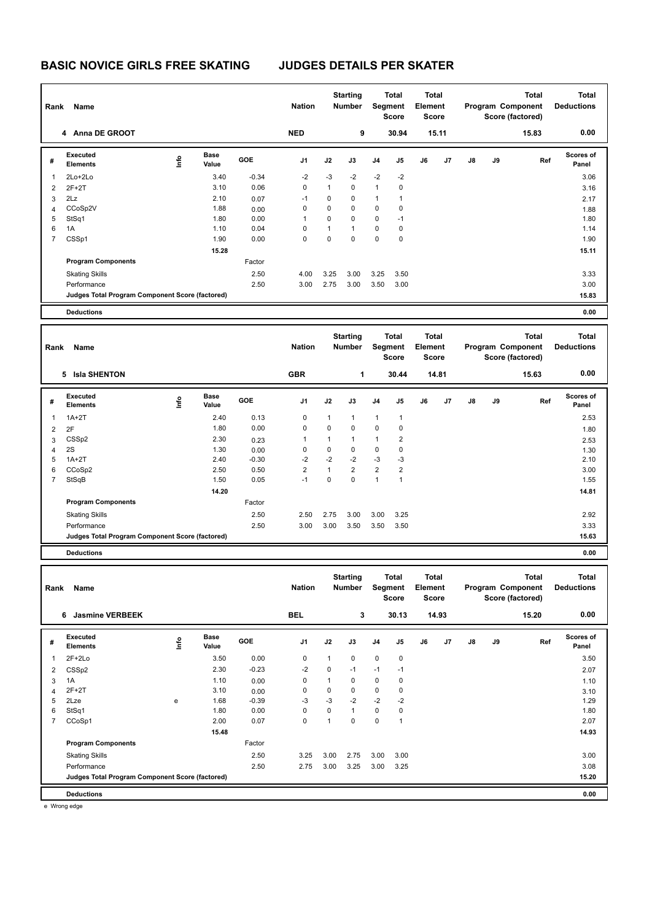| Rank                | Name                                            |                                                             |                      |              | <b>Nation</b>  |                   | <b>Starting</b><br><b>Number</b> |                | <b>Total</b><br><b>Segment</b><br><b>Score</b> | Total<br>Element<br><b>Score</b> |       |    |    | <b>Total</b><br>Program Component<br>Score (factored) | <b>Total</b><br><b>Deductions</b> |
|---------------------|-------------------------------------------------|-------------------------------------------------------------|----------------------|--------------|----------------|-------------------|----------------------------------|----------------|------------------------------------------------|----------------------------------|-------|----|----|-------------------------------------------------------|-----------------------------------|
|                     | 4 Anna DE GROOT                                 |                                                             |                      |              | <b>NED</b>     |                   | 9                                |                | 30.94                                          |                                  | 15.11 |    |    | 15.83                                                 | 0.00                              |
| #                   | <b>Executed</b><br><b>Elements</b>              | $\mathop{\mathsf{Irr}}\nolimits$                            | <b>Base</b><br>Value | GOE          | J1             | J2                | J3                               | J4             | J5                                             | J6                               | J7    | J8 | J9 | Ref                                                   | <b>Scores of</b><br>Panel         |
| 1                   | 2Lo+2Lo                                         |                                                             | 3.40                 | $-0.34$      | $-2$           | $-3$              | $-2$                             | $-2$           | $-2$                                           |                                  |       |    |    |                                                       | 3.06                              |
| 2                   | $2F+2T$                                         |                                                             | 3.10                 | 0.06         | 0              | $\mathbf{1}$      | $\mathbf 0$                      | $\mathbf{1}$   | $\mathbf 0$                                    |                                  |       |    |    |                                                       | 3.16                              |
| 3                   | 2Lz                                             |                                                             | 2.10                 | 0.07         | $-1$           | 0                 | 0                                | $\mathbf{1}$   | 1                                              |                                  |       |    |    |                                                       | 2.17                              |
| 4                   | CCoSp2V                                         |                                                             | 1.88                 | 0.00         | 0              | 0                 | $\mathbf 0$                      | 0              | 0                                              |                                  |       |    |    |                                                       | 1.88                              |
| 5                   | StSq1                                           |                                                             | 1.80                 | 0.00         | 1              | 0                 | $\mathbf 0$                      | $\mathbf 0$    | $-1$                                           |                                  |       |    |    |                                                       | 1.80                              |
| 6<br>$\overline{7}$ | 1A<br>CSSp1                                     |                                                             | 1.10<br>1.90         | 0.04<br>0.00 | 0<br>0         | $\mathbf{1}$<br>0 | $\mathbf{1}$<br>$\mathbf 0$      | 0<br>$\pmb{0}$ | 0<br>$\mathbf 0$                               |                                  |       |    |    |                                                       | 1.14<br>1.90                      |
|                     |                                                 |                                                             |                      |              |                |                   |                                  |                |                                                |                                  |       |    |    |                                                       |                                   |
|                     | <b>Program Components</b>                       |                                                             | 15.28                | Factor       |                |                   |                                  |                |                                                |                                  |       |    |    |                                                       | 15.11                             |
|                     |                                                 |                                                             |                      |              |                |                   |                                  |                |                                                |                                  |       |    |    |                                                       |                                   |
|                     | <b>Skating Skills</b>                           |                                                             |                      | 2.50         | 4.00           | 3.25              | 3.00                             | 3.25           | 3.50                                           |                                  |       |    |    |                                                       | 3.33                              |
|                     | Performance                                     |                                                             |                      | 2.50         | 3.00           | 2.75              | 3.00                             | 3.50           | 3.00                                           |                                  |       |    |    |                                                       | 3.00                              |
|                     | Judges Total Program Component Score (factored) |                                                             |                      |              |                |                   |                                  |                |                                                |                                  |       |    |    |                                                       | 15.83                             |
|                     | <b>Deductions</b>                               |                                                             |                      |              |                |                   |                                  |                |                                                |                                  |       |    |    |                                                       | 0.00                              |
|                     |                                                 |                                                             |                      |              |                |                   | <b>Starting</b>                  |                | Total                                          | Total                            |       |    |    | <b>Total</b>                                          | <b>Total</b>                      |
| Rank                | Name                                            |                                                             |                      |              | <b>Nation</b>  |                   | <b>Number</b>                    |                | Segment                                        | Element                          |       |    |    | Program Component                                     | <b>Deductions</b>                 |
|                     |                                                 |                                                             |                      |              |                |                   |                                  |                | <b>Score</b>                                   | <b>Score</b>                     |       |    |    | Score (factored)                                      |                                   |
|                     |                                                 |                                                             |                      |              |                |                   |                                  |                |                                                |                                  |       |    |    |                                                       |                                   |
|                     | 5 Isla SHENTON                                  |                                                             |                      |              | <b>GBR</b>     |                   | 1                                |                | 30.44                                          |                                  | 14.81 |    |    | 15.63                                                 | 0.00                              |
| #                   | <b>Executed</b><br><b>Elements</b>              | $\mathop{\mathsf{Int}}\nolimits$                            | Base<br>Value        | GOE          | J1             | J2                | J3                               | J4             | J5                                             | J6                               | J7    | J8 | J9 | Ref                                                   | Scores of<br>Panel                |
| 1                   | $1A+2T$                                         |                                                             | 2.40                 | 0.13         | 0              | 1                 | 1                                | $\mathbf{1}$   |                                                |                                  |       |    |    |                                                       | 2.53                              |
|                     |                                                 |                                                             | 1.80                 | 0.00         | 0              | 0                 | $\mathbf 0$                      | 0              | 1<br>0                                         |                                  |       |    |    |                                                       |                                   |
| 2                   | 2F<br>CSS <sub>p2</sub>                         |                                                             | 2.30                 |              | 1              | $\mathbf{1}$      | $\mathbf{1}$                     | 1              | $\overline{c}$                                 |                                  |       |    |    |                                                       | 1.80                              |
| 3<br>$\overline{4}$ | 2S                                              |                                                             | 1.30                 | 0.23<br>0.00 | 0              | 0                 | $\mathbf 0$                      | 0              | 0                                              |                                  |       |    |    |                                                       | 2.53<br>1.30                      |
| 5                   | $1A+2T$                                         |                                                             | 2.40                 | $-0.30$      | $-2$           | $-2$              | $-2$                             | $-3$           | -3                                             |                                  |       |    |    |                                                       | 2.10                              |
| 6                   | CCoSp2                                          |                                                             | 2.50                 | 0.50         | $\overline{2}$ | $\mathbf{1}$      | $\overline{2}$                   | $\overline{2}$ | $\overline{2}$                                 |                                  |       |    |    |                                                       | 3.00                              |
| $\overline{7}$      | StSqB                                           |                                                             | 1.50                 | 0.05         | $-1$           | 0                 | $\mathbf 0$                      | $\mathbf{1}$   | 1                                              |                                  |       |    |    |                                                       | 1.55                              |
|                     |                                                 |                                                             | 14.20                |              |                |                   |                                  |                |                                                |                                  |       |    |    |                                                       | 14.81                             |
|                     | <b>Program Components</b>                       |                                                             |                      | Factor       |                |                   |                                  |                |                                                |                                  |       |    |    |                                                       |                                   |
|                     | <b>Skating Skills</b>                           |                                                             |                      | 2.50         | 2.50           | 2.75              | 3.00                             | 3.00           | 3.25                                           |                                  |       |    |    |                                                       | 2.92                              |
|                     | Performance                                     |                                                             |                      | 2.50         | 3.00           | 3.00              | 3.50                             | 3.50           | 3.50                                           |                                  |       |    |    |                                                       | 3.33                              |
|                     | Judges Total Program Component Score (factored) |                                                             |                      |              |                |                   |                                  |                |                                                |                                  |       |    |    |                                                       | 15.63                             |
|                     | <b>Deductions</b>                               |                                                             |                      |              |                |                   |                                  |                |                                                |                                  |       |    |    |                                                       | 0.00                              |
|                     |                                                 |                                                             |                      |              |                |                   |                                  |                |                                                |                                  |       |    |    |                                                       |                                   |
|                     |                                                 |                                                             |                      |              |                |                   | Starting                         |                | Total                                          | Total                            |       |    |    | Total                                                 | Total                             |
|                     | Rank Name                                       |                                                             |                      |              | <b>Nation</b>  |                   | <b>Number</b>                    |                | Segment                                        | Element                          |       |    |    | Program Component                                     | <b>Deductions</b>                 |
|                     |                                                 |                                                             |                      |              |                |                   |                                  |                | <b>Score</b>                                   | Score                            |       |    |    | Score (factored)                                      |                                   |
|                     | 6 Jasmine VERBEEK                               |                                                             |                      |              | <b>BEL</b>     |                   | $\mathbf{3}$                     |                | 30.13                                          |                                  | 14.93 |    |    | 15.20                                                 | 0.00                              |
|                     |                                                 |                                                             |                      |              |                |                   |                                  |                |                                                |                                  |       |    |    |                                                       |                                   |
| #                   | <b>Executed</b><br><b>Elements</b>              | $\begin{array}{c} \hline \text{lnfo} \\ \hline \end{array}$ | Base<br>Value        | GOE          | J1             | J2                | J3                               | J4             | J5                                             | J6                               | J7    | J8 | J9 | Ref                                                   | Scores of<br>Panel                |
| 1                   | $2F+2Lo$                                        |                                                             | 3.50                 | 0.00         | 0              | $\mathbf{1}$      | 0                                | 0              | $\pmb{0}$                                      |                                  |       |    |    |                                                       | 3.50                              |
| $\overline{2}$      | CSS <sub>p2</sub>                               |                                                             | 2.30                 | $-0.23$      | $-2$           | 0                 | $-1$                             | $-1$           | $-1$                                           |                                  |       |    |    |                                                       | 2.07                              |
| 3                   | 1A                                              |                                                             | 1.10                 | 0.00         | 0              | $\mathbf{1}$      | $\mathbf 0$                      | 0              | 0                                              |                                  |       |    |    |                                                       | 1.10                              |
| 4                   | $2F+2T$                                         |                                                             | 3.10                 | 0.00         | 0              | 0                 | 0                                | $\mathbf 0$    | 0                                              |                                  |       |    |    |                                                       | 3.10                              |
| 5                   | 2Lze                                            | e                                                           | 1.68                 | $-0.39$      | $-3$           | $-3$              | -2                               | $-2$           | $-2$                                           |                                  |       |    |    |                                                       | 1.29                              |
| 6                   | StSq1                                           |                                                             | 1.80                 | 0.00         | 0              | 0                 | $\mathbf{1}$                     | 0              | 0                                              |                                  |       |    |    |                                                       | 1.80                              |
| $\overline{7}$      | CCoSp1                                          |                                                             | 2.00                 | 0.07         | 0              | $\mathbf{1}$      | $\pmb{0}$                        | 0              | $\mathbf{1}$                                   |                                  |       |    |    |                                                       | 2.07                              |
|                     |                                                 |                                                             | 15.48                |              |                |                   |                                  |                |                                                |                                  |       |    |    |                                                       | 14.93                             |
|                     | <b>Program Components</b>                       |                                                             |                      | Factor       |                |                   |                                  |                |                                                |                                  |       |    |    |                                                       |                                   |

Skating Skills 3.25 3.00 2.75 3.00 3.00 2.50 3.00

Performance 2.50 2.75 3.00 3.25 3.00 3.25 3.08

**Judges Total Program Component Score (factored) 15.20**

**Deductions 0.00**

e Wrong edge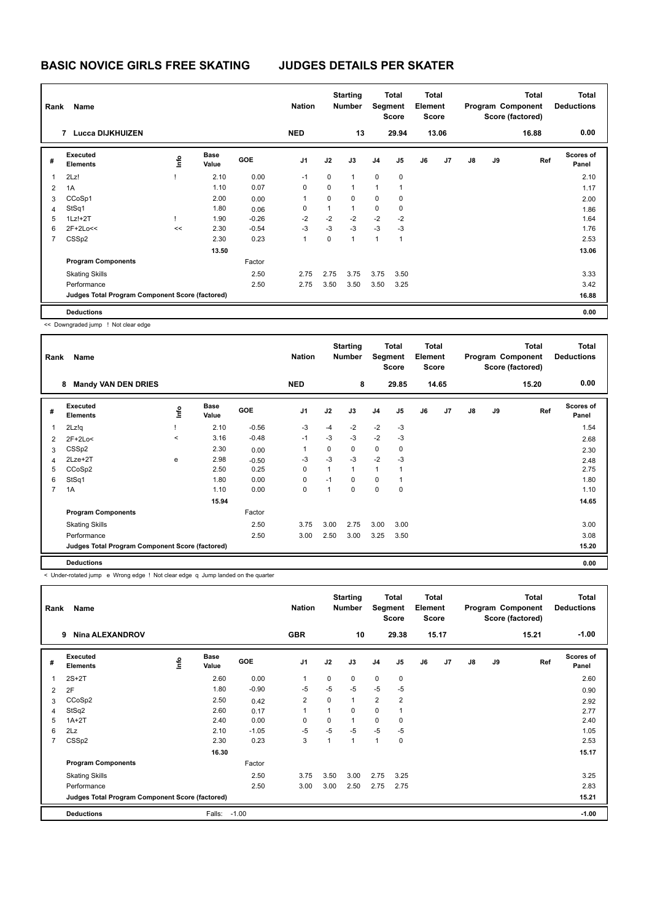| Rank           | Name                                            |      |                      |            | <b>Nation</b>  |      | <b>Starting</b><br><b>Number</b> | Segment        | <b>Total</b><br>Score | Total<br>Element<br><b>Score</b> |       | <b>Total</b><br>Program Component<br>Score (factored) |    | <b>Total</b><br><b>Deductions</b> |                    |
|----------------|-------------------------------------------------|------|----------------------|------------|----------------|------|----------------------------------|----------------|-----------------------|----------------------------------|-------|-------------------------------------------------------|----|-----------------------------------|--------------------|
|                | 7 Lucca DIJKHUIZEN                              |      |                      |            | <b>NED</b>     |      | 13                               |                | 29.94                 |                                  | 13.06 |                                                       |    | 16.88                             | 0.00               |
| #              | Executed<br><b>Elements</b>                     | ١mfo | <b>Base</b><br>Value | <b>GOE</b> | J <sub>1</sub> | J2   | J3                               | J <sub>4</sub> | J <sub>5</sub>        | J6                               | J7    | $\mathsf{J}8$                                         | J9 | Ref                               | Scores of<br>Panel |
|                | 2Lz!                                            |      | 2.10                 | 0.00       | $-1$           | 0    | $\mathbf{1}$                     | $\mathbf 0$    | $\mathbf 0$           |                                  |       |                                                       |    |                                   | 2.10               |
| $\overline{2}$ | 1A                                              |      | 1.10                 | 0.07       | 0              | 0    | $\mathbf{1}$                     | 1              | 1                     |                                  |       |                                                       |    |                                   | 1.17               |
| 3              | CCoSp1                                          |      | 2.00                 | 0.00       | 1              | 0    | 0                                | 0              | 0                     |                                  |       |                                                       |    |                                   | 2.00               |
| $\overline{4}$ | StSq1                                           |      | 1.80                 | 0.06       | 0              | 1    | $\mathbf{1}$                     | $\mathbf 0$    | 0                     |                                  |       |                                                       |    |                                   | 1.86               |
| 5              | $1Lz!+2T$                                       |      | 1.90                 | $-0.26$    | $-2$           | $-2$ | $-2$                             | $-2$           | $-2$                  |                                  |       |                                                       |    |                                   | 1.64               |
| 6              | 2F+2Lo<<                                        | <<   | 2.30                 | $-0.54$    | $-3$           | $-3$ | $-3$                             | $-3$           | $-3$                  |                                  |       |                                                       |    |                                   | 1.76               |
| $\overline{7}$ | CSS <sub>p2</sub>                               |      | 2.30                 | 0.23       | 1              | 0    | $\overline{1}$                   | $\overline{1}$ | 1                     |                                  |       |                                                       |    |                                   | 2.53               |
|                |                                                 |      | 13.50                |            |                |      |                                  |                |                       |                                  |       |                                                       |    |                                   | 13.06              |
|                | <b>Program Components</b>                       |      |                      | Factor     |                |      |                                  |                |                       |                                  |       |                                                       |    |                                   |                    |
|                | <b>Skating Skills</b>                           |      |                      | 2.50       | 2.75           | 2.75 | 3.75                             | 3.75           | 3.50                  |                                  |       |                                                       |    |                                   | 3.33               |
|                | Performance                                     |      |                      | 2.50       | 2.75           | 3.50 | 3.50                             | 3.50           | 3.25                  |                                  |       |                                                       |    |                                   | 3.42               |
|                | Judges Total Program Component Score (factored) |      |                      |            |                |      |                                  |                |                       |                                  |       |                                                       |    |                                   | 16.88              |
|                | <b>Deductions</b>                               |      |                      |            |                |      |                                  |                |                       |                                  |       |                                                       |    |                                   | 0.00               |

<< Downgraded jump ! Not clear edge

| Rank           | Name                                            |         |                      |            | <b>Nation</b>  |              | <b>Starting</b><br><b>Number</b> | Segment        | <b>Total</b><br>Score | <b>Total</b><br>Element<br><b>Score</b> |       |    |    | <b>Total</b><br>Program Component<br>Score (factored) | <b>Total</b><br><b>Deductions</b> |
|----------------|-------------------------------------------------|---------|----------------------|------------|----------------|--------------|----------------------------------|----------------|-----------------------|-----------------------------------------|-------|----|----|-------------------------------------------------------|-----------------------------------|
|                | <b>Mandy VAN DEN DRIES</b><br>8                 |         |                      |            | <b>NED</b>     |              | 8                                |                | 29.85                 |                                         | 14.65 |    |    | 15.20                                                 | 0.00                              |
| #              | Executed<br><b>Elements</b>                     | lnfo    | <b>Base</b><br>Value | <b>GOE</b> | J <sub>1</sub> | J2           | J3                               | J <sub>4</sub> | J <sub>5</sub>        | J6                                      | J7    | J8 | J9 | Ref                                                   | <b>Scores of</b><br>Panel         |
| 1              | 2Lz!q                                           |         | 2.10                 | $-0.56$    | $-3$           | -4           | $-2$                             | $-2$           | $-3$                  |                                         |       |    |    |                                                       | 1.54                              |
| 2              | $2F+2Lo<$                                       | $\prec$ | 3.16                 | $-0.48$    | $-1$           | $-3$         | $-3$                             | $-2$           | $-3$                  |                                         |       |    |    |                                                       | 2.68                              |
| 3              | CSS <sub>p2</sub>                               |         | 2.30                 | 0.00       | $\overline{1}$ | 0            | $\mathbf 0$                      | $\mathbf 0$    | 0                     |                                         |       |    |    |                                                       | 2.30                              |
| 4              | 2Lze+2T                                         | e       | 2.98                 | $-0.50$    | $-3$           | $-3$         | $-3$                             | $-2$           | $-3$                  |                                         |       |    |    |                                                       | 2.48                              |
| 5              | CCoSp2                                          |         | 2.50                 | 0.25       | $\mathbf 0$    | $\mathbf{1}$ | $\mathbf{1}$                     | 1              | 1                     |                                         |       |    |    |                                                       | 2.75                              |
| 6              | StSq1                                           |         | 1.80                 | 0.00       | $\mathbf 0$    | $-1$         | $\Omega$                         | 0              | 1                     |                                         |       |    |    |                                                       | 1.80                              |
| $\overline{7}$ | 1A                                              |         | 1.10                 | 0.00       | $\mathbf 0$    |              | $\mathbf 0$                      | $\mathbf 0$    | 0                     |                                         |       |    |    |                                                       | 1.10                              |
|                |                                                 |         | 15.94                |            |                |              |                                  |                |                       |                                         |       |    |    |                                                       | 14.65                             |
|                | <b>Program Components</b>                       |         |                      | Factor     |                |              |                                  |                |                       |                                         |       |    |    |                                                       |                                   |
|                | <b>Skating Skills</b>                           |         |                      | 2.50       | 3.75           | 3.00         | 2.75                             | 3.00           | 3.00                  |                                         |       |    |    |                                                       | 3.00                              |
|                | Performance                                     |         |                      | 2.50       | 3.00           | 2.50         | 3.00                             | 3.25           | 3.50                  |                                         |       |    |    |                                                       | 3.08                              |
|                | Judges Total Program Component Score (factored) |         |                      |            |                |              |                                  |                |                       |                                         |       |    |    |                                                       | 15.20                             |
|                | <b>Deductions</b>                               |         |                      |            |                |              |                                  |                |                       |                                         |       |    |    |                                                       | 0.00                              |

< Under-rotated jump e Wrong edge ! Not clear edge q Jump landed on the quarter

| Rank                    | Name                                            |    |                      |            | <b>Nation</b>  |              | <b>Starting</b><br><b>Number</b> | Segment                  | Total<br><b>Score</b> | <b>Total</b><br>Element<br><b>Score</b> |       |               |    | <b>Total</b><br>Program Component<br>Score (factored) | Total<br><b>Deductions</b> |
|-------------------------|-------------------------------------------------|----|----------------------|------------|----------------|--------------|----------------------------------|--------------------------|-----------------------|-----------------------------------------|-------|---------------|----|-------------------------------------------------------|----------------------------|
|                         | <b>Nina ALEXANDROV</b><br>9                     |    |                      |            | <b>GBR</b>     |              | 10                               |                          | 29.38                 |                                         | 15.17 |               |    | 15.21                                                 | $-1.00$                    |
| #                       | Executed<br><b>Elements</b>                     | ۴ů | <b>Base</b><br>Value | <b>GOE</b> | J <sub>1</sub> | J2           | J3                               | J4                       | J <sub>5</sub>        | J6                                      | J7    | $\mathsf{J}8$ | J9 | Ref                                                   | <b>Scores of</b><br>Panel  |
| $\overline{\mathbf{1}}$ | $2S+2T$                                         |    | 2.60                 | 0.00       | $\overline{1}$ | $\Omega$     | $\Omega$                         | $\mathbf 0$              | $\pmb{0}$             |                                         |       |               |    |                                                       | 2.60                       |
| 2                       | 2F                                              |    | 1.80                 | $-0.90$    | $-5$           | $-5$         | $-5$                             | $-5$                     | $-5$                  |                                         |       |               |    |                                                       | 0.90                       |
| 3                       | CCoSp2                                          |    | 2.50                 | 0.42       | $\overline{2}$ | 0            | $\mathbf{1}$                     | $\overline{2}$           | $\overline{2}$        |                                         |       |               |    |                                                       | 2.92                       |
| 4                       | StSq2                                           |    | 2.60                 | 0.17       | 1              | $\mathbf{1}$ | $\Omega$                         | $\mathbf 0$              | 1                     |                                         |       |               |    |                                                       | 2.77                       |
| 5                       | $1A+2T$                                         |    | 2.40                 | 0.00       | 0              | 0            |                                  | 0                        | 0                     |                                         |       |               |    |                                                       | 2.40                       |
| 6                       | 2Lz                                             |    | 2.10                 | $-1.05$    | $-5$           | $-5$         | $-5$                             | $-5$                     | -5                    |                                         |       |               |    |                                                       | 1.05                       |
| $\overline{7}$          | CSS <sub>p2</sub>                               |    | 2.30                 | 0.23       | 3              | 1            | $\overline{ }$                   | $\overline{\phantom{a}}$ | 0                     |                                         |       |               |    |                                                       | 2.53                       |
|                         |                                                 |    | 16.30                |            |                |              |                                  |                          |                       |                                         |       |               |    |                                                       | 15.17                      |
|                         | <b>Program Components</b>                       |    |                      | Factor     |                |              |                                  |                          |                       |                                         |       |               |    |                                                       |                            |
|                         | <b>Skating Skills</b>                           |    |                      | 2.50       | 3.75           | 3.50         | 3.00                             | 2.75                     | 3.25                  |                                         |       |               |    |                                                       | 3.25                       |
|                         | Performance                                     |    |                      | 2.50       | 3.00           | 3.00         | 2.50                             | 2.75                     | 2.75                  |                                         |       |               |    |                                                       | 2.83                       |
|                         | Judges Total Program Component Score (factored) |    |                      |            |                |              |                                  |                          |                       |                                         |       |               |    |                                                       | 15.21                      |
|                         | <b>Deductions</b>                               |    | Falls:               | $-1.00$    |                |              |                                  |                          |                       |                                         |       |               |    |                                                       | $-1.00$                    |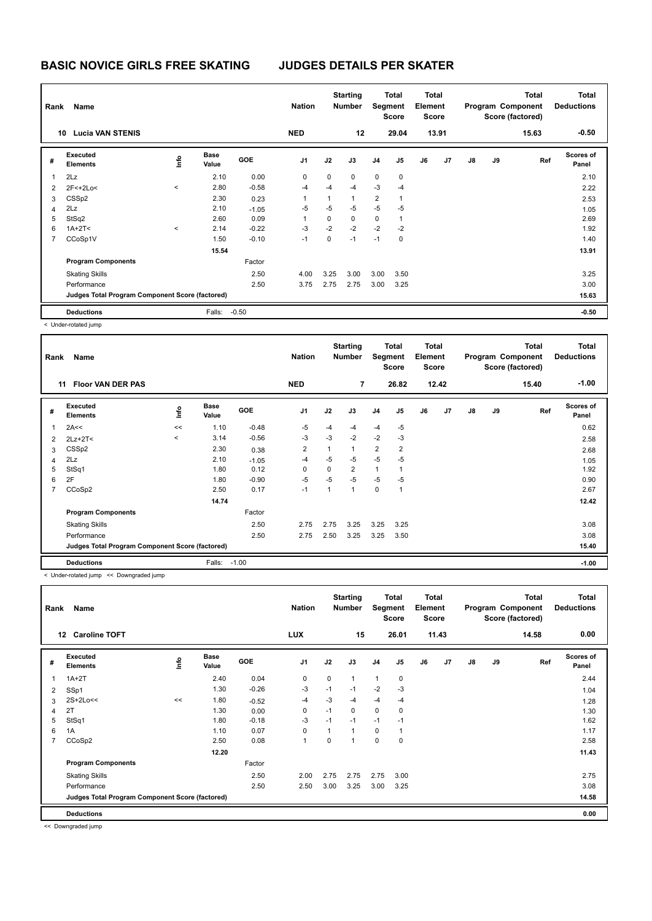| Rank           | Name                                            |         |                      |         | <b>Nation</b>  |      | <b>Starting</b><br><b>Number</b> |                | Total<br>Segment<br><b>Score</b> | <b>Total</b><br>Element<br><b>Score</b> |       |    |    | <b>Total</b><br>Program Component<br>Score (factored) | <b>Total</b><br><b>Deductions</b> |
|----------------|-------------------------------------------------|---------|----------------------|---------|----------------|------|----------------------------------|----------------|----------------------------------|-----------------------------------------|-------|----|----|-------------------------------------------------------|-----------------------------------|
|                | <b>Lucia VAN STENIS</b><br>10                   |         |                      |         | <b>NED</b>     |      | 12                               |                | 29.04                            |                                         | 13.91 |    |    | 15.63                                                 | $-0.50$                           |
| #              | Executed<br><b>Elements</b>                     | ١m      | <b>Base</b><br>Value | GOE     | J <sub>1</sub> | J2   | J3                               | J <sub>4</sub> | J5                               | J6                                      | J7    | J8 | J9 | Ref                                                   | Scores of<br>Panel                |
| $\overline{1}$ | 2Lz                                             |         | 2.10                 | 0.00    | 0              | 0    | $\mathbf 0$                      | $\mathbf 0$    | 0                                |                                         |       |    |    |                                                       | 2.10                              |
| $\overline{2}$ | $2F<+2Lo<$                                      | $\prec$ | 2.80                 | $-0.58$ | $-4$           | $-4$ | $-4$                             | -3             | $-4$                             |                                         |       |    |    |                                                       | 2.22                              |
| 3              | CSS <sub>p2</sub>                               |         | 2.30                 | 0.23    | 1              | 1    | $\mathbf{1}$                     | $\overline{2}$ | $\overline{1}$                   |                                         |       |    |    |                                                       | 2.53                              |
| 4              | 2Lz                                             |         | 2.10                 | $-1.05$ | $-5$           | $-5$ | $-5$                             | $-5$           | $-5$                             |                                         |       |    |    |                                                       | 1.05                              |
| 5              | StSq2                                           |         | 2.60                 | 0.09    | 1              | 0    | $\mathbf 0$                      | $\mathbf 0$    | 1                                |                                         |       |    |    |                                                       | 2.69                              |
| 6              | $1A+2T2$                                        | $\,<\,$ | 2.14                 | $-0.22$ | $-3$           | $-2$ | $-2$                             | $-2$           | $-2$                             |                                         |       |    |    |                                                       | 1.92                              |
| $\overline{7}$ | CCoSp1V                                         |         | 1.50                 | $-0.10$ | $-1$           | 0    | $-1$                             | $-1$           | 0                                |                                         |       |    |    |                                                       | 1.40                              |
|                |                                                 |         | 15.54                |         |                |      |                                  |                |                                  |                                         |       |    |    |                                                       | 13.91                             |
|                | <b>Program Components</b>                       |         |                      | Factor  |                |      |                                  |                |                                  |                                         |       |    |    |                                                       |                                   |
|                | <b>Skating Skills</b>                           |         |                      | 2.50    | 4.00           | 3.25 | 3.00                             | 3.00           | 3.50                             |                                         |       |    |    |                                                       | 3.25                              |
|                | Performance                                     |         |                      | 2.50    | 3.75           | 2.75 | 2.75                             | 3.00           | 3.25                             |                                         |       |    |    |                                                       | 3.00                              |
|                | Judges Total Program Component Score (factored) |         |                      |         |                |      |                                  |                |                                  |                                         |       |    |    |                                                       | 15.63                             |
|                | <b>Deductions</b>                               |         | Falls:               | $-0.50$ |                |      |                                  |                |                                  |                                         |       |    |    |                                                       | $-0.50$                           |

< Under-rotated jump

| Rank           | Name                                            |         |                      |            | <b>Nation</b>  |      | <b>Starting</b><br><b>Number</b> |                | Total<br>Segment<br><b>Score</b> | <b>Total</b><br>Element<br><b>Score</b> |       |               |    | <b>Total</b><br>Program Component<br>Score (factored) | <b>Total</b><br><b>Deductions</b> |
|----------------|-------------------------------------------------|---------|----------------------|------------|----------------|------|----------------------------------|----------------|----------------------------------|-----------------------------------------|-------|---------------|----|-------------------------------------------------------|-----------------------------------|
|                | <b>Floor VAN DER PAS</b><br>11                  |         |                      |            | <b>NED</b>     |      | 7                                |                | 26.82                            |                                         | 12.42 |               |    | 15.40                                                 | $-1.00$                           |
| #              | Executed<br><b>Elements</b>                     | ١nf٥    | <b>Base</b><br>Value | <b>GOE</b> | J <sub>1</sub> | J2   | J3                               | J <sub>4</sub> | J <sub>5</sub>                   | J6                                      | J7    | $\mathsf{J}8$ | J9 | Ref                                                   | <b>Scores of</b><br>Panel         |
|                | 2A<<                                            | <<      | 1.10                 | $-0.48$    | $-5$           | -4   | -4                               | $-4$           | $-5$                             |                                         |       |               |    |                                                       | 0.62                              |
| 2              | $2Lz+2T<$                                       | $\prec$ | 3.14                 | $-0.56$    | $-3$           | $-3$ | $-2$                             | $-2$           | $-3$                             |                                         |       |               |    |                                                       | 2.58                              |
| 3              | CSS <sub>p2</sub>                               |         | 2.30                 | 0.38       | $\overline{2}$ | 1    | 1                                | $\overline{2}$ | $\overline{2}$                   |                                         |       |               |    |                                                       | 2.68                              |
| 4              | 2Lz                                             |         | 2.10                 | $-1.05$    | $-4$           | $-5$ | $-5$                             | $-5$           | $-5$                             |                                         |       |               |    |                                                       | 1.05                              |
| 5              | StSq1                                           |         | 1.80                 | 0.12       | 0              | 0    | $\overline{2}$                   | $\mathbf{1}$   | 1                                |                                         |       |               |    |                                                       | 1.92                              |
| 6              | 2F                                              |         | 1.80                 | $-0.90$    | $-5$           | $-5$ | $-5$                             | $-5$           | $-5$                             |                                         |       |               |    |                                                       | 0.90                              |
| $\overline{7}$ | CCoSp2                                          |         | 2.50                 | 0.17       | $-1$           | 1    | $\overline{1}$                   | 0              | $\mathbf{1}$                     |                                         |       |               |    |                                                       | 2.67                              |
|                |                                                 |         | 14.74                |            |                |      |                                  |                |                                  |                                         |       |               |    |                                                       | 12.42                             |
|                | <b>Program Components</b>                       |         |                      | Factor     |                |      |                                  |                |                                  |                                         |       |               |    |                                                       |                                   |
|                | <b>Skating Skills</b>                           |         |                      | 2.50       | 2.75           | 2.75 | 3.25                             | 3.25           | 3.25                             |                                         |       |               |    |                                                       | 3.08                              |
|                | Performance                                     |         |                      | 2.50       | 2.75           | 2.50 | 3.25                             | 3.25           | 3.50                             |                                         |       |               |    |                                                       | 3.08                              |
|                | Judges Total Program Component Score (factored) |         |                      |            |                |      |                                  |                |                                  |                                         |       |               |    |                                                       | 15.40                             |
|                | <b>Deductions</b>                               |         | Falls:               | $-1.00$    |                |      |                                  |                |                                  |                                         |       |               |    |                                                       | $-1.00$                           |

< Under-rotated jump << Downgraded jump

| Rank | Name                                            |      |                      |            | <b>Nation</b>  |              | <b>Starting</b><br><b>Number</b> |                | Total<br>Segment<br><b>Score</b> | <b>Total</b><br>Element<br><b>Score</b> |       |               |    | <b>Total</b><br>Program Component<br>Score (factored) | <b>Total</b><br><b>Deductions</b> |
|------|-------------------------------------------------|------|----------------------|------------|----------------|--------------|----------------------------------|----------------|----------------------------------|-----------------------------------------|-------|---------------|----|-------------------------------------------------------|-----------------------------------|
|      | <b>Caroline TOFT</b><br>12                      |      |                      |            | <b>LUX</b>     |              | 15                               |                | 26.01                            |                                         | 11.43 |               |    | 14.58                                                 | 0.00                              |
| #    | Executed<br><b>Elements</b>                     | ١nf٥ | <b>Base</b><br>Value | <b>GOE</b> | J <sub>1</sub> | J2           | J3                               | J <sub>4</sub> | J5                               | J6                                      | J7    | $\mathsf{J}8$ | J9 | Ref                                                   | Scores of<br>Panel                |
| 1    | $1A+2T$                                         |      | 2.40                 | 0.04       | 0              | 0            | $\mathbf{1}$                     | $\mathbf{1}$   | 0                                |                                         |       |               |    |                                                       | 2.44                              |
| 2    | SSp1                                            |      | 1.30                 | $-0.26$    | $-3$           | $-1$         | $-1$                             | $-2$           | $-3$                             |                                         |       |               |    |                                                       | 1.04                              |
| 3    | 2S+2Lo<<                                        | <<   | 1.80                 | $-0.52$    | $-4$           | $-3$         | -4                               | $-4$           | $-4$                             |                                         |       |               |    |                                                       | 1.28                              |
| 4    | 2T                                              |      | 1.30                 | 0.00       | 0              | $-1$         | $\mathbf 0$                      | $\mathbf 0$    | 0                                |                                         |       |               |    |                                                       | 1.30                              |
| 5    | StSq1                                           |      | 1.80                 | $-0.18$    | $-3$           | $-1$         | $-1$                             | $-1$           | $-1$                             |                                         |       |               |    |                                                       | 1.62                              |
| 6    | 1A                                              |      | 1.10                 | 0.07       | $\Omega$       | $\mathbf{1}$ | $\overline{1}$                   | 0              | 1                                |                                         |       |               |    |                                                       | 1.17                              |
| 7    | CCoSp2                                          |      | 2.50                 | 0.08       | $\mathbf{1}$   | 0            |                                  | $\mathbf 0$    | $\mathbf 0$                      |                                         |       |               |    |                                                       | 2.58                              |
|      |                                                 |      | 12.20                |            |                |              |                                  |                |                                  |                                         |       |               |    |                                                       | 11.43                             |
|      | <b>Program Components</b>                       |      |                      | Factor     |                |              |                                  |                |                                  |                                         |       |               |    |                                                       |                                   |
|      | <b>Skating Skills</b>                           |      |                      | 2.50       | 2.00           | 2.75         | 2.75                             | 2.75           | 3.00                             |                                         |       |               |    |                                                       | 2.75                              |
|      | Performance                                     |      |                      | 2.50       | 2.50           | 3.00         | 3.25                             | 3.00           | 3.25                             |                                         |       |               |    |                                                       | 3.08                              |
|      | Judges Total Program Component Score (factored) |      |                      |            |                |              |                                  |                |                                  |                                         |       |               |    |                                                       | 14.58                             |
|      | <b>Deductions</b>                               |      |                      |            |                |              |                                  |                |                                  |                                         |       |               |    |                                                       | 0.00                              |

<< Downgraded jump